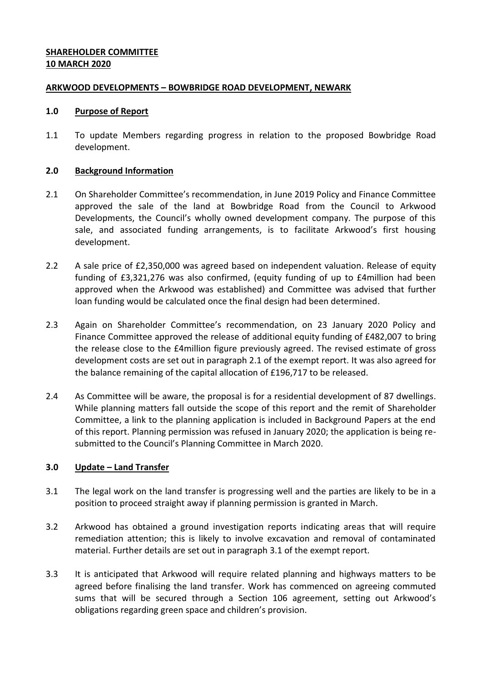# **SHAREHOLDER COMMITTEE 10 MARCH 2020**

### **ARKWOOD DEVELOPMENTS – BOWBRIDGE ROAD DEVELOPMENT, NEWARK**

### **1.0 Purpose of Report**

1.1 To update Members regarding progress in relation to the proposed Bowbridge Road development.

### **2.0 Background Information**

- 2.1 On Shareholder Committee's recommendation, in June 2019 Policy and Finance Committee approved the sale of the land at Bowbridge Road from the Council to Arkwood Developments, the Council's wholly owned development company. The purpose of this sale, and associated funding arrangements, is to facilitate Arkwood's first housing development.
- 2.2 A sale price of £2,350,000 was agreed based on independent valuation. Release of equity funding of £3,321,276 was also confirmed, (equity funding of up to £4million had been approved when the Arkwood was established) and Committee was advised that further loan funding would be calculated once the final design had been determined.
- 2.3 Again on Shareholder Committee's recommendation, on 23 January 2020 Policy and Finance Committee approved the release of additional equity funding of £482,007 to bring the release close to the £4million figure previously agreed. The revised estimate of gross development costs are set out in paragraph 2.1 of the exempt report. It was also agreed for the balance remaining of the capital allocation of £196,717 to be released.
- 2.4 As Committee will be aware, the proposal is for a residential development of 87 dwellings. While planning matters fall outside the scope of this report and the remit of Shareholder Committee, a link to the planning application is included in Background Papers at the end of this report. Planning permission was refused in January 2020; the application is being resubmitted to the Council's Planning Committee in March 2020.

## **3.0 Update – Land Transfer**

- 3.1 The legal work on the land transfer is progressing well and the parties are likely to be in a position to proceed straight away if planning permission is granted in March.
- 3.2 Arkwood has obtained a ground investigation reports indicating areas that will require remediation attention; this is likely to involve excavation and removal of contaminated material. Further details are set out in paragraph 3.1 of the exempt report.
- 3.3 It is anticipated that Arkwood will require related planning and highways matters to be agreed before finalising the land transfer. Work has commenced on agreeing commuted sums that will be secured through a Section 106 agreement, setting out Arkwood's obligations regarding green space and children's provision.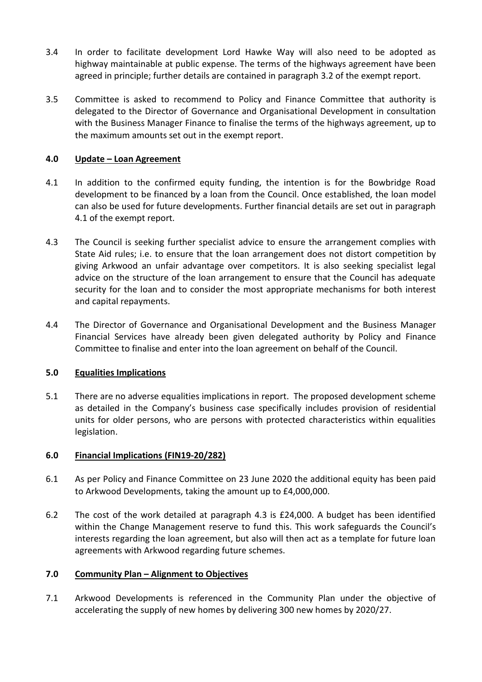- 3.4 In order to facilitate development Lord Hawke Way will also need to be adopted as highway maintainable at public expense. The terms of the highways agreement have been agreed in principle; further details are contained in paragraph 3.2 of the exempt report.
- 3.5 Committee is asked to recommend to Policy and Finance Committee that authority is delegated to the Director of Governance and Organisational Development in consultation with the Business Manager Finance to finalise the terms of the highways agreement, up to the maximum amounts set out in the exempt report.

# **4.0 Update – Loan Agreement**

- 4.1 In addition to the confirmed equity funding, the intention is for the Bowbridge Road development to be financed by a loan from the Council. Once established, the loan model can also be used for future developments. Further financial details are set out in paragraph 4.1 of the exempt report.
- 4.3 The Council is seeking further specialist advice to ensure the arrangement complies with State Aid rules; i.e. to ensure that the loan arrangement does not distort competition by giving Arkwood an unfair advantage over competitors. It is also seeking specialist legal advice on the structure of the loan arrangement to ensure that the Council has adequate security for the loan and to consider the most appropriate mechanisms for both interest and capital repayments.
- 4.4 The Director of Governance and Organisational Development and the Business Manager Financial Services have already been given delegated authority by Policy and Finance Committee to finalise and enter into the loan agreement on behalf of the Council.

# **5.0 Equalities Implications**

5.1 There are no adverse equalities implications in report. The proposed development scheme as detailed in the Company's business case specifically includes provision of residential units for older persons, who are persons with protected characteristics within equalities legislation.

## **6.0 Financial Implications (FIN19-20/282)**

- 6.1 As per Policy and Finance Committee on 23 June 2020 the additional equity has been paid to Arkwood Developments, taking the amount up to £4,000,000.
- 6.2 The cost of the work detailed at paragraph 4.3 is £24,000. A budget has been identified within the Change Management reserve to fund this. This work safeguards the Council's interests regarding the loan agreement, but also will then act as a template for future loan agreements with Arkwood regarding future schemes.

## **7.0 Community Plan – Alignment to Objectives**

7.1 Arkwood Developments is referenced in the Community Plan under the objective of accelerating the supply of new homes by delivering 300 new homes by 2020/27.